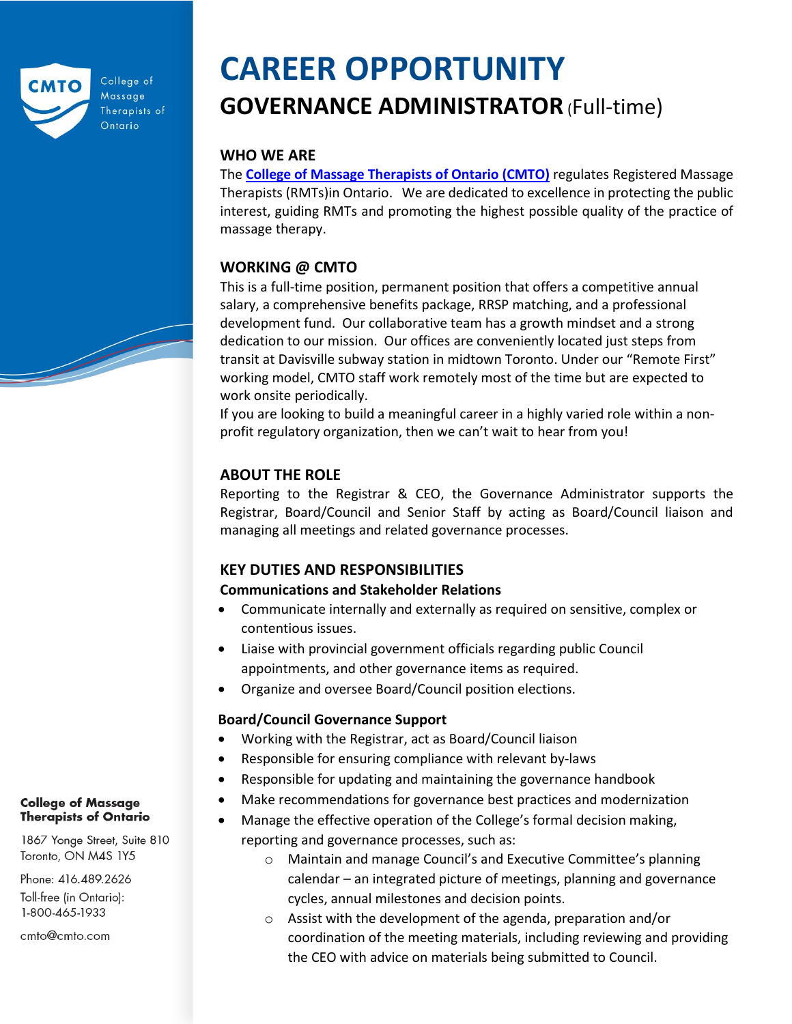

College of Massage Therapists of Ontario

# **CAREER OPPORTUNITY GOVERNANCE ADMINISTRATOR**(Full-time)

## **WHO WE ARE**

The **[College of Massage Therapists of Ontario \(CMTO\)](https://www.cmto.com/)** regulates Registered Massage Therapists (RMTs)in Ontario. We are dedicated to excellence in protecting the public interest, guiding RMTs and promoting the highest possible quality of the practice of massage therapy.

## **WORKING @ CMTO**

This is a full-time position, permanent position that offers a competitive annual salary, a comprehensive benefits package, RRSP matching, and a professional development fund. Our collaborative team has a growth mindset and a strong dedication to our mission. Our offices are conveniently located just steps from transit at Davisville subway station in midtown Toronto. Under our "Remote First" working model, CMTO staff work remotely most of the time but are expected to work onsite periodically.

If you are looking to build a meaningful career in a highly varied role within a nonprofit regulatory organization, then we can't wait to hear from you!

## **ABOUT THE ROLE**

Reporting to the Registrar & CEO, the Governance Administrator supports the Registrar, Board/Council and Senior Staff by acting as Board/Council liaison and managing all meetings and related governance processes.

## **KEY DUTIES AND RESPONSIBILITIES**

#### **Communications and Stakeholder Relations**

- Communicate internally and externally as required on sensitive, complex or contentious issues.
- Liaise with provincial government officials regarding public Council appointments, and other governance items as required.
- Organize and oversee Board/Council position elections.

## **Board/Council Governance Support**

- Working with the Registrar, act as Board/Council liaison
- Responsible for ensuring compliance with relevant by-laws
- Responsible for updating and maintaining the governance handbook
- Make recommendations for governance best practices and modernization
- Manage the effective operation of the College's formal decision making, reporting and governance processes, such as:
	- o Maintain and manage Council's and Executive Committee's planning calendar – an integrated picture of meetings, planning and governance cycles, annual milestones and decision points.
	- o Assist with the development of the agenda, preparation and/or coordination of the meeting materials, including reviewing and providing the CEO with advice on materials being submitted to Council.

#### **College of Massage Therapists of Ontario**

1867 Yonge Street, Suite 810 Toronto, ON M4S 1Y5

Phone: 416.489.2626 Toll-free (in Ontario): 1-800-465-1933

cmto@cmto.com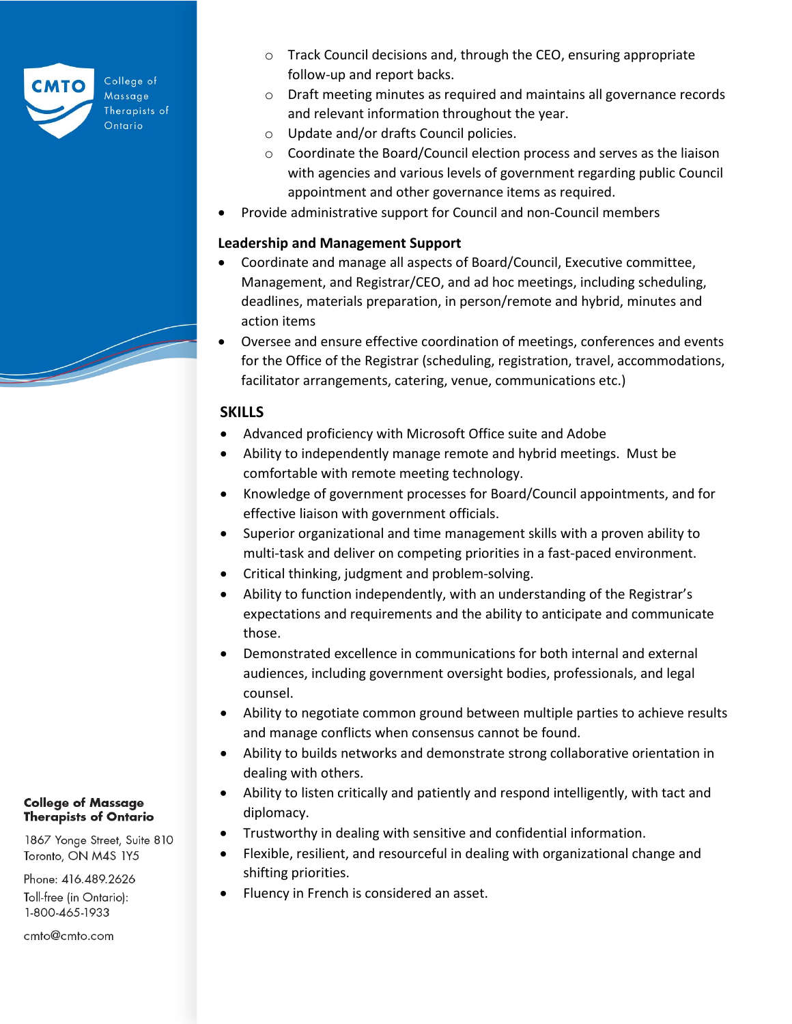

College of Massage Therapists of Ontario

- o Track Council decisions and, through the CEO, ensuring appropriate follow-up and report backs.
- o Draft meeting minutes as required and maintains all governance records and relevant information throughout the year.
- o Update and/or drafts Council policies.
- o Coordinate the Board/Council election process and serves as the liaison with agencies and various levels of government regarding public Council appointment and other governance items as required.
- Provide administrative support for Council and non-Council members

### **Leadership and Management Support**

- Coordinate and manage all aspects of Board/Council, Executive committee, Management, and Registrar/CEO, and ad hoc meetings, including scheduling, deadlines, materials preparation, in person/remote and hybrid, minutes and action items
- Oversee and ensure effective coordination of meetings, conferences and events for the Office of the Registrar (scheduling, registration, travel, accommodations, facilitator arrangements, catering, venue, communications etc.)

### **SKILLS**

- Advanced proficiency with Microsoft Office suite and Adobe
- Ability to independently manage remote and hybrid meetings. Must be comfortable with remote meeting technology.
- Knowledge of government processes for Board/Council appointments, and for effective liaison with government officials.
- Superior organizational and time management skills with a proven ability to multi-task and deliver on competing priorities in a fast-paced environment.
- Critical thinking, judgment and problem-solving.
- Ability to function independently, with an understanding of the Registrar's expectations and requirements and the ability to anticipate and communicate those.
- Demonstrated excellence in communications for both internal and external audiences, including government oversight bodies, professionals, and legal counsel.
- Ability to negotiate common ground between multiple parties to achieve results and manage conflicts when consensus cannot be found.
- Ability to builds networks and demonstrate strong collaborative orientation in dealing with others.
- Ability to listen critically and patiently and respond intelligently, with tact and diplomacy.
- Trustworthy in dealing with sensitive and confidential information.
- Flexible, resilient, and resourceful in dealing with organizational change and shifting priorities.
- Fluency in French is considered an asset.

**College of Massage Therapists of Ontario** 

1867 Yonge Street, Suite 810 Toronto, ON M4S 1Y5

Phone: 416.489.2626 Toll-free (in Ontario): 1-800-465-1933

cmto@cmto.com